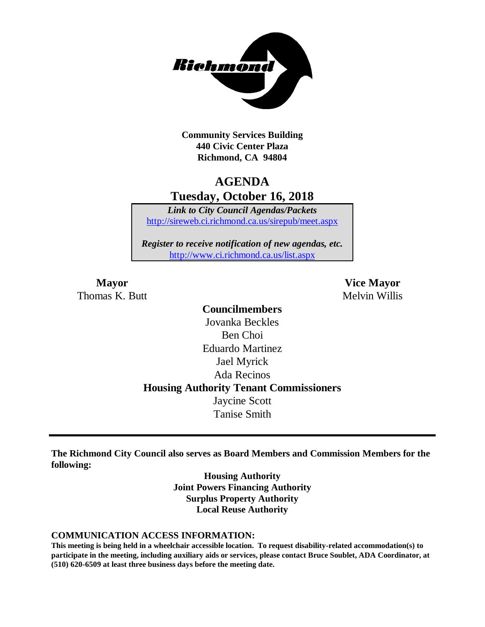

**Community Services Building 440 Civic Center Plaza Richmond, CA 94804**

# **AGENDA Tuesday, October 16, 2018**

*Link to City Council Agendas/Packets* <http://sireweb.ci.richmond.ca.us/sirepub/meet.aspx>

*Register to receive notification of new agendas, etc.* <http://www.ci.richmond.ca.us/list.aspx>

Thomas K. Butt Melvin Willis

**Mayor Vice Mayor**

**Councilmembers** Jovanka Beckles Ben Choi Eduardo Martinez Jael Myrick Ada Recinos **Housing Authority Tenant Commissioners** Jaycine Scott Tanise Smith

**The Richmond City Council also serves as Board Members and Commission Members for the following:**

> **Housing Authority Joint Powers Financing Authority Surplus Property Authority Local Reuse Authority**

#### **COMMUNICATION ACCESS INFORMATION:**

**This meeting is being held in a wheelchair accessible location. To request disability-related accommodation(s) to participate in the meeting, including auxiliary aids or services, please contact Bruce Soublet, ADA Coordinator, at (510) 620-6509 at least three business days before the meeting date.**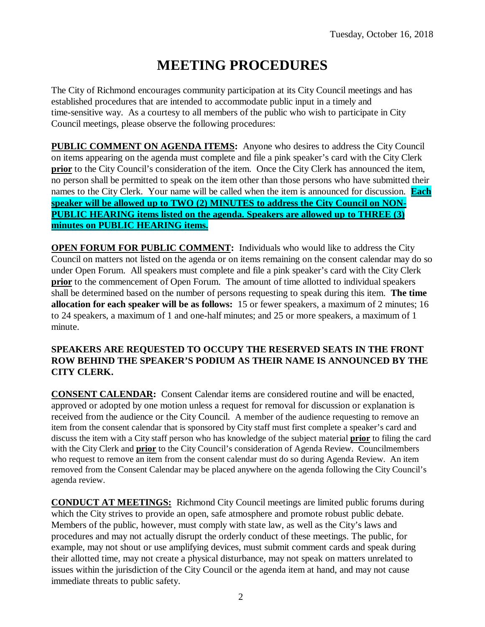# **MEETING PROCEDURES**

The City of Richmond encourages community participation at its City Council meetings and has established procedures that are intended to accommodate public input in a timely and time-sensitive way. As a courtesy to all members of the public who wish to participate in City Council meetings, please observe the following procedures:

**PUBLIC COMMENT ON AGENDA ITEMS:** Anyone who desires to address the City Council on items appearing on the agenda must complete and file a pink speaker's card with the City Clerk **prior** to the City Council's consideration of the item. Once the City Clerk has announced the item, no person shall be permitted to speak on the item other than those persons who have submitted their names to the City Clerk. Your name will be called when the item is announced for discussion. **Each speaker will be allowed up to TWO (2) MINUTES to address the City Council on NON-PUBLIC HEARING items listed on the agenda. Speakers are allowed up to THREE (3) minutes on PUBLIC HEARING items.**

**OPEN FORUM FOR PUBLIC COMMENT:** Individuals who would like to address the City Council on matters not listed on the agenda or on items remaining on the consent calendar may do so under Open Forum. All speakers must complete and file a pink speaker's card with the City Clerk **prior** to the commencement of Open Forum. The amount of time allotted to individual speakers shall be determined based on the number of persons requesting to speak during this item. **The time allocation for each speaker will be as follows:** 15 or fewer speakers, a maximum of 2 minutes; 16 to 24 speakers, a maximum of 1 and one-half minutes; and 25 or more speakers, a maximum of 1 minute.

#### **SPEAKERS ARE REQUESTED TO OCCUPY THE RESERVED SEATS IN THE FRONT ROW BEHIND THE SPEAKER'S PODIUM AS THEIR NAME IS ANNOUNCED BY THE CITY CLERK.**

**CONSENT CALENDAR:** Consent Calendar items are considered routine and will be enacted, approved or adopted by one motion unless a request for removal for discussion or explanation is received from the audience or the City Council. A member of the audience requesting to remove an item from the consent calendar that is sponsored by City staff must first complete a speaker's card and discuss the item with a City staff person who has knowledge of the subject material **prior** to filing the card with the City Clerk and **prior** to the City Council's consideration of Agenda Review. Councilmembers who request to remove an item from the consent calendar must do so during Agenda Review. An item removed from the Consent Calendar may be placed anywhere on the agenda following the City Council's agenda review.

**CONDUCT AT MEETINGS:** Richmond City Council meetings are limited public forums during which the City strives to provide an open, safe atmosphere and promote robust public debate. Members of the public, however, must comply with state law, as well as the City's laws and procedures and may not actually disrupt the orderly conduct of these meetings. The public, for example, may not shout or use amplifying devices, must submit comment cards and speak during their allotted time, may not create a physical disturbance, may not speak on matters unrelated to issues within the jurisdiction of the City Council or the agenda item at hand, and may not cause immediate threats to public safety.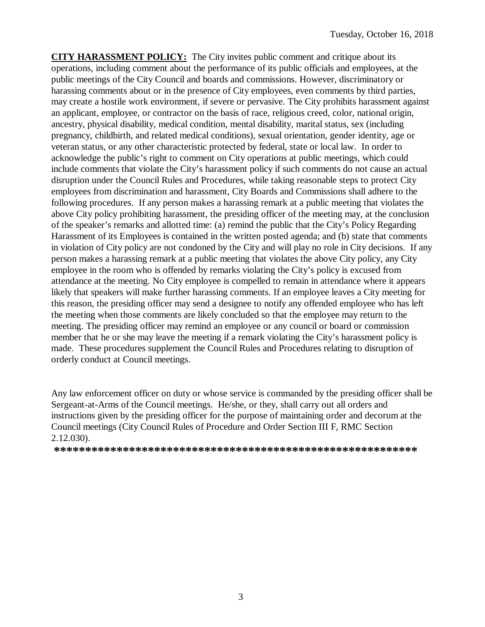**CITY HARASSMENT POLICY:** The City invites public comment and critique about its operations, including comment about the performance of its public officials and employees, at the public meetings of the City Council and boards and commissions. However, discriminatory or harassing comments about or in the presence of City employees, even comments by third parties, may create a hostile work environment, if severe or pervasive. The City prohibits harassment against an applicant, employee, or contractor on the basis of race, religious creed, color, national origin, ancestry, physical disability, medical condition, mental disability, marital status, sex (including pregnancy, childbirth, and related medical conditions), sexual orientation, gender identity, age or veteran status, or any other characteristic protected by federal, state or local law. In order to acknowledge the public's right to comment on City operations at public meetings, which could include comments that violate the City's harassment policy if such comments do not cause an actual disruption under the Council Rules and Procedures, while taking reasonable steps to protect City employees from discrimination and harassment, City Boards and Commissions shall adhere to the following procedures. If any person makes a harassing remark at a public meeting that violates the above City policy prohibiting harassment, the presiding officer of the meeting may, at the conclusion of the speaker's remarks and allotted time: (a) remind the public that the City's Policy Regarding Harassment of its Employees is contained in the written posted agenda; and (b) state that comments in violation of City policy are not condoned by the City and will play no role in City decisions. If any person makes a harassing remark at a public meeting that violates the above City policy, any City employee in the room who is offended by remarks violating the City's policy is excused from attendance at the meeting. No City employee is compelled to remain in attendance where it appears likely that speakers will make further harassing comments. If an employee leaves a City meeting for this reason, the presiding officer may send a designee to notify any offended employee who has left the meeting when those comments are likely concluded so that the employee may return to the meeting. The presiding officer may remind an employee or any council or board or commission member that he or she may leave the meeting if a remark violating the City's harassment policy is made. These procedures supplement the Council Rules and Procedures relating to disruption of orderly conduct at Council meetings.

Any law enforcement officer on duty or whose service is commanded by the presiding officer shall be Sergeant-at-Arms of the Council meetings. He/she, or they, shall carry out all orders and instructions given by the presiding officer for the purpose of maintaining order and decorum at the Council meetings (City Council Rules of Procedure and Order Section III F, RMC Section 2.12.030).

**\*\*\*\*\*\*\*\*\*\*\*\*\*\*\*\*\*\*\*\*\*\*\*\*\*\*\*\*\*\*\*\*\*\*\*\*\*\*\*\*\*\*\*\*\*\*\*\*\*\*\*\*\*\*\*\*\*\***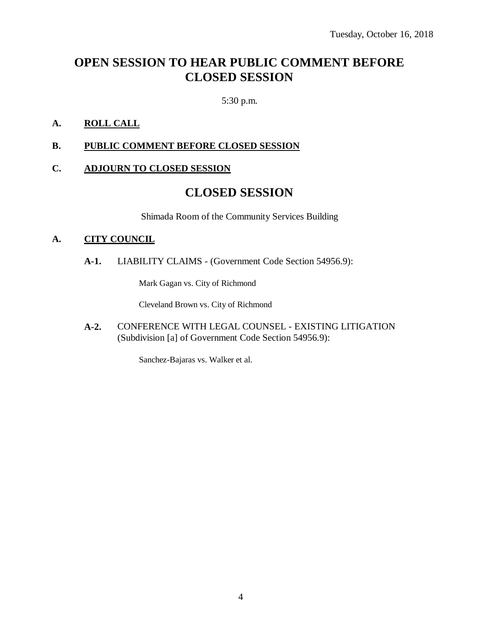# **OPEN SESSION TO HEAR PUBLIC COMMENT BEFORE CLOSED SESSION**

5:30 p.m.

### **A. ROLL CALL**

#### **B. PUBLIC COMMENT BEFORE CLOSED SESSION**

#### **C. ADJOURN TO CLOSED SESSION**

### **CLOSED SESSION**

Shimada Room of the Community Services Building

#### **A. CITY COUNCIL**

**A-1.** LIABILITY CLAIMS - (Government Code Section 54956.9):

Mark Gagan vs. City of Richmond

Cleveland Brown vs. City of Richmond

**A-2.** CONFERENCE WITH LEGAL COUNSEL - EXISTING LITIGATION (Subdivision [a] of Government Code Section 54956.9):

Sanchez-Bajaras vs. Walker et al.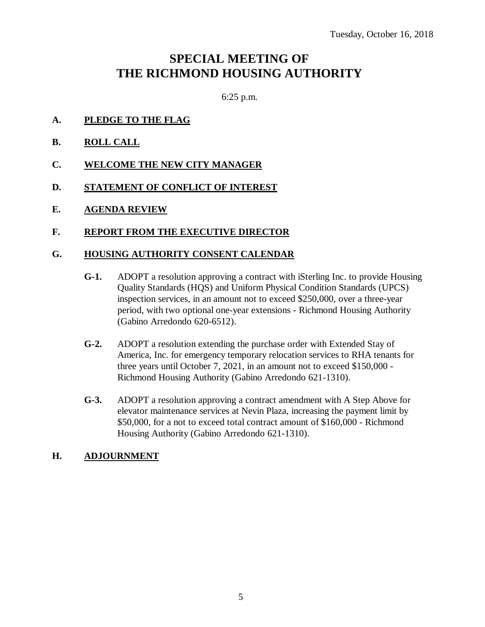## **SPECIAL MEETING OF THE RICHMOND HOUSING AUTHORITY**

6:25 p.m.

- **A. PLEDGE TO THE FLAG**
- **B. ROLL CALL**
- **C. WELCOME THE NEW CITY MANAGER**
- **D. STATEMENT OF CONFLICT OF INTEREST**
- **E. AGENDA REVIEW**

#### **F. REPORT FROM THE EXECUTIVE DIRECTOR**

#### **G. HOUSING AUTHORITY CONSENT CALENDAR**

- **G-1.** ADOPT a resolution approving a contract with iSterling Inc. to provide Housing Quality Standards (HQS) and Uniform Physical Condition Standards (UPCS) inspection services, in an amount not to exceed \$250,000, over a three-year period, with two optional one-year extensions - Richmond Housing Authority (Gabino Arredondo 620-6512).
- **G-2.** ADOPT a resolution extending the purchase order with Extended Stay of America, Inc. for emergency temporary relocation services to RHA tenants for three years until October 7, 2021, in an amount not to exceed \$150,000 - Richmond Housing Authority (Gabino Arredondo 621-1310).
- **G-3.** ADOPT a resolution approving a contract amendment with A Step Above for elevator maintenance services at Nevin Plaza, increasing the payment limit by \$50,000, for a not to exceed total contract amount of \$160,000 - Richmond Housing Authority (Gabino Arredondo 621-1310).

#### **H. ADJOURNMENT**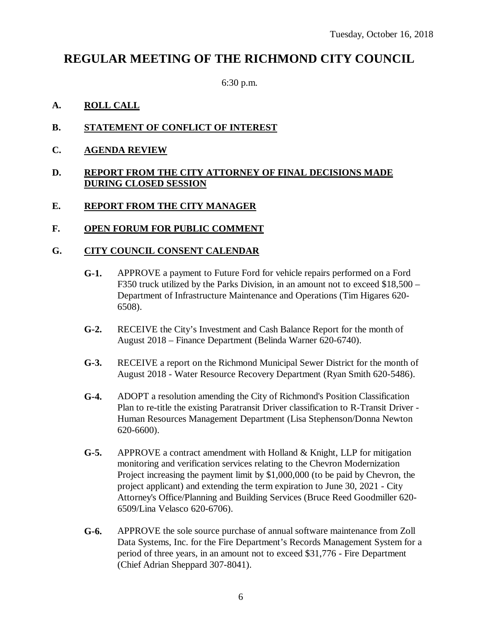### **REGULAR MEETING OF THE RICHMOND CITY COUNCIL**

6:30 p.m.

#### **A. ROLL CALL**

- **B. STATEMENT OF CONFLICT OF INTEREST**
- **C. AGENDA REVIEW**

#### **D. REPORT FROM THE CITY ATTORNEY OF FINAL DECISIONS MADE DURING CLOSED SESSION**

#### **E. REPORT FROM THE CITY MANAGER**

#### **F. OPEN FORUM FOR PUBLIC COMMENT**

#### **G. CITY COUNCIL CONSENT CALENDAR**

- **G-1.** APPROVE a payment to Future Ford for vehicle repairs performed on a Ford F350 truck utilized by the Parks Division, in an amount not to exceed \$18,500 – Department of Infrastructure Maintenance and Operations (Tim Higares 620- 6508).
- **G-2.** RECEIVE the City's Investment and Cash Balance Report for the month of August 2018 – Finance Department (Belinda Warner 620-6740).
- **G-3.** RECEIVE a report on the Richmond Municipal Sewer District for the month of August 2018 - Water Resource Recovery Department (Ryan Smith 620-5486).
- **G-4.** ADOPT a resolution amending the City of Richmond's Position Classification Plan to re-title the existing Paratransit Driver classification to R-Transit Driver - Human Resources Management Department (Lisa Stephenson/Donna Newton 620-6600).
- **G-5.** APPROVE a contract amendment with Holland & Knight, LLP for mitigation monitoring and verification services relating to the Chevron Modernization Project increasing the payment limit by \$1,000,000 (to be paid by Chevron, the project applicant) and extending the term expiration to June 30, 2021 - City Attorney's Office/Planning and Building Services (Bruce Reed Goodmiller 620- 6509/Lina Velasco 620-6706).
- **G-6.** APPROVE the sole source purchase of annual software maintenance from Zoll Data Systems, Inc. for the Fire Department's Records Management System for a period of three years, in an amount not to exceed \$31,776 - Fire Department (Chief Adrian Sheppard 307-8041).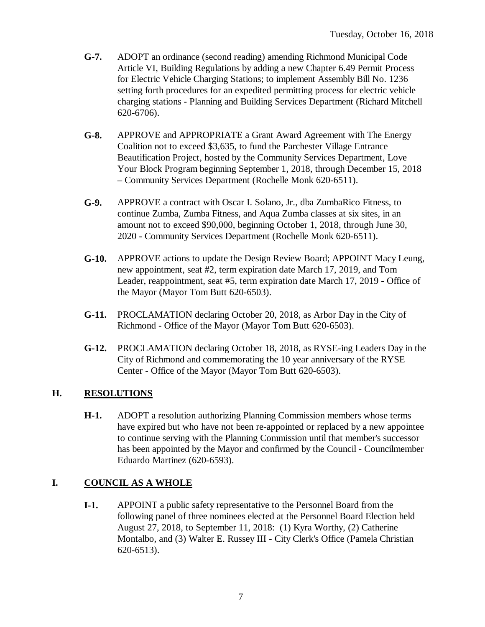- **G-7.** ADOPT an ordinance (second reading) amending Richmond Municipal Code Article VI, Building Regulations by adding a new Chapter 6.49 Permit Process for Electric Vehicle Charging Stations; to implement Assembly Bill No. 1236 setting forth procedures for an expedited permitting process for electric vehicle charging stations - Planning and Building Services Department (Richard Mitchell 620-6706).
- **G-8.** APPROVE and APPROPRIATE a Grant Award Agreement with The Energy Coalition not to exceed \$3,635, to fund the Parchester Village Entrance Beautification Project, hosted by the Community Services Department, Love Your Block Program beginning September 1, 2018, through December 15, 2018 – Community Services Department (Rochelle Monk 620-6511).
- **G-9.** APPROVE a contract with Oscar I. Solano, Jr., dba ZumbaRico Fitness, to continue Zumba, Zumba Fitness, and Aqua Zumba classes at six sites, in an amount not to exceed \$90,000, beginning October 1, 2018, through June 30, 2020 - Community Services Department (Rochelle Monk 620-6511).
- **G-10.** APPROVE actions to update the Design Review Board; APPOINT Macy Leung, new appointment, seat #2, term expiration date March 17, 2019, and Tom Leader, reappointment, seat #5, term expiration date March 17, 2019 - Office of the Mayor (Mayor Tom Butt 620-6503).
- **G-11.** PROCLAMATION declaring October 20, 2018, as Arbor Day in the City of Richmond - Office of the Mayor (Mayor Tom Butt 620-6503).
- **G-12.** PROCLAMATION declaring October 18, 2018, as RYSE-ing Leaders Day in the City of Richmond and commemorating the 10 year anniversary of the RYSE Center - Office of the Mayor (Mayor Tom Butt 620-6503).

### **H. RESOLUTIONS**

**H-1.** ADOPT a resolution authorizing Planning Commission members whose terms have expired but who have not been re-appointed or replaced by a new appointee to continue serving with the Planning Commission until that member's successor has been appointed by the Mayor and confirmed by the Council - Councilmember Eduardo Martinez (620-6593).

### **I. COUNCIL AS A WHOLE**

**I-1.** APPOINT a public safety representative to the Personnel Board from the following panel of three nominees elected at the Personnel Board Election held August 27, 2018, to September 11, 2018: (1) Kyra Worthy, (2) Catherine Montalbo, and (3) Walter E. Russey III - City Clerk's Office (Pamela Christian 620-6513).